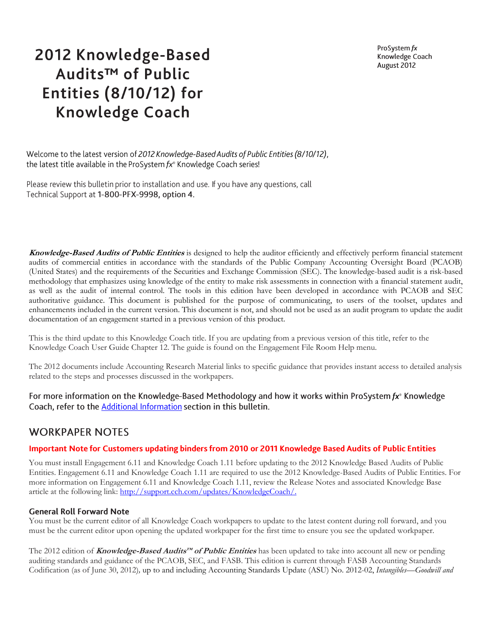ProSystem fx Knowledge Coach August 2012

# 2012 Knowledge-Based Audits™ of Public **Entities (8/10/12) for Knowledge Coach**

Welcome to the latest version of 2012 Knowledge-Based Audits of Public Entities (8/10/12), the latest title available in the ProSystem fx® Knowledge Coach series!

Please review this bulletin prior to installation and use. If you have any questions, call Technical Support at 1-800-PFX-9998, option 4.

**Knowledge-Based Audits of Public Entities** is designed to help the auditor efficiently and effectively perform financial statement audits of commercial entities in accordance with the standards of the Public Company Accounting Oversight Board (PCAOB) (United States) and the requirements of the Securities and Exchange Commission (SEC). The knowledge-based audit is a risk-based methodology that emphasizes using knowledge of the entity to make risk assessments in connection with a financial statement audit, as well as the audit of internal control. The tools in this edition have been developed in accordance with PCAOB and SEC authoritative guidance. This document is published for the purpose of communicating, to users of the toolset, updates and enhancements included in the current version. This document is not, and should not be used as an audit program to update the audit documentation of an engagement started in a previous version of this product.

This is the third update to this Knowledge Coach title. If you are updating from a previous version of this title, refer to the Knowledge Coach User Guide Chapter 12. The guide is found on the Engagement File Room Help menu.

The 2012 documents include Accounting Research Material links to specific guidance that provides instant access to detailed analysis related to the steps and processes discussed in the workpapers.

For more information on the Knowledge-Based Methodology and how it works within ProSystem  $f x^*$  Knowledge Coach, refer to the Additional Information section in this bulletin.

# **WORKPAPER NOTES**

# Important Note for Customers updating binders from 2010 or 2011 Knowledge Based Audits of Public Entities

You must install Engagement 6.11 and Knowledge Coach 1.11 before updating to the 2012 Knowledge Based Audits of Public Entities. Engagement 6.11 and Knowledge Coach 1.11 are required to use the 2012 Knowledge-Based Audits of Public Entities. For more information on Engagement 6.11 and Knowledge Coach 1.11, review the Release Notes and associated Knowledge Base article at the following link: [http://support.cch.com/updates/KnowledgeCoach/.](http://support.cch.com/updates/KnowledgeCoach/)

# **General Roll Forward Note**

You must be the current editor of all Knowledge Coach workpapers to update to the latest content during roll forward, and you must be the current editor upon opening the updated workpaper for the first time to ensure you see the updated workpaper.

The 2012 edition of **Knowledge-Based Audits™ of Public Entities** has been updated to take into account all new or pending auditing standards and guidance of the PCAOB, SEC, and FASB. This edition is current through FASB Accounting Standards Codification (as of June 30, 2012)*,* up to and including Accounting Standards Update (ASU) No. 2012-02, *Intangibles—Goodwill and*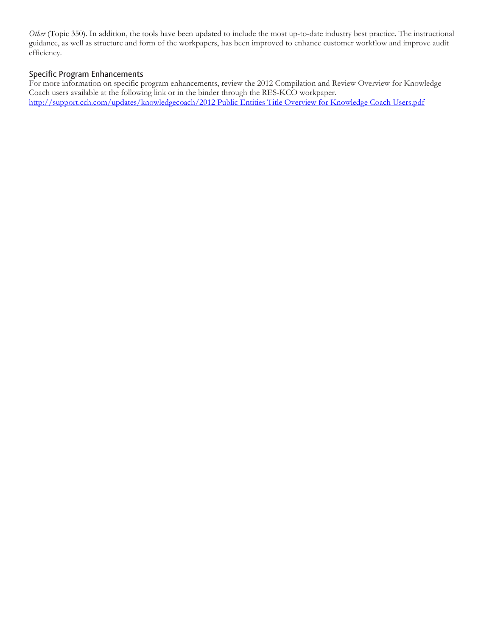*Other* (Topic 350). In addition, the tools have been updated to include the most up-to-date industry best practice. The instructional guidance, as well as structure and form of the workpapers, has been improved to enhance customer workflow and improve audit efficiency.

#### **Specific Program Enhancements**

For more information on specific program enhancements, review the 2012 Compilation and Review Overview for Knowledge Coach users available at the following link or in the binder through the RES-KCO workpaper. http://support.cch.com/updates/knowledgecoach/2012 Public Entities Title Overview for Knowledge Coach Users.pdf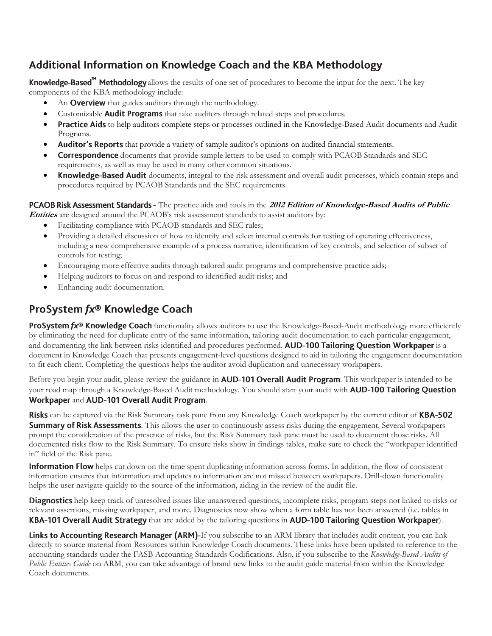# Additional Information on Knowledge Coach and the KBA Methodology

Knowledge-Based<sup>"</sup> Methodology allows the results of one set of procedures to become the input for the next. The key components of the KBA methodology include:

- An **Overview** that guides auditors through the methodology.
- Customizable **Audit Programs** that take auditors through related steps and procedures.
- **Practice Aids** to help auditors complete steps or processes outlined in the Knowledge-Based Audit documents and Audit Programs.
- Auditor's Reports that provide a variety of sample auditor's opinions on audited financial statements.
- Correspondence documents that provide sample letters to be used to comply with PCAOB Standards and SEC requirements, as well as may be used in many other common situations.
- Knowledge-Based Audit documents, integral to the risk assessment and overall audit processes, which contain steps and procedures required by PCAOB Standards and the SEC requirements.

#### PCAOB Risk Assessment Standards - The practice aids and tools in the 2012 Edition of Knowledge-Based Audits of Public **Entities** are designed around the PCAOB's risk assessment standards to assist auditors by:

- Facilitating compliance with PCAOB standards and SEC rules;
- Providing a detailed discussion of how to identify and select internal controls for testing of operating effectiveness, including a new comprehensive example of a process narrative, identification of key controls, and selection of subset of controls for testing;
- Encouraging more effective audits through tailored audit programs and comprehensive practice aids;
- Helping auditors to focus on and respond to identified audit risks; and
- Enhancing audit documentation.

# ProSystem fx® Knowledge Coach

**ProSystem fx® Knowledge Coach** functionality allows auditors to use the Knowledge-Based-Audit methodology more efficiently by eliminating the need for duplicate entry of the same information, tailoring audit documentation to each particular engagement, and documenting the link between risks identified and procedures performed. AUD-100 Tailoring Question Workpaper is a document in Knowledge Coach that presents engagement-level questions designed to aid in tailoring the engagement documentation to fit each client. Completing the questions helps the auditor avoid duplication and unnecessary workpapers.

Before you begin your audit, please review the guidance in AUD-101 Overall Audit Program. This workpaper is intended to be your road map through a Knowledge-Based Audit methodology. You should start your audit with **AUD-100 Tailoring Question** Workpaper and AUD-101 Overall Audit Program.

Risks can be captured via the Risk Summary task pane from any Knowledge Coach workpaper by the current editor of KBA-502 **Summary of Risk Assessments**. This allows the user to continuously assess risks during the engagement. Several workpapers prompt the consideration of the presence of risks, but the Risk Summary task pane must be used to document those risks. All documented risks flow to the Risk Summary. To ensure risks show in findings tables, make sure to check the "workpaper identified in" field of the Risk pane.

**Information Flow** helps cut down on the time spent duplicating information across forms. In addition, the flow of consistent information ensures that information and updates to information are not missed between workpapers. Drill-down functionality helps the user navigate quickly to the source of the information, aiding in the review of the audit file.

**Diagnostics** help keep track of unresolved issues like unanswered questions, incomplete risks, program steps not linked to risks or relevant assertions, missing workpaper, and more. Diagnostics now show when a form table has not been answered (i.e. tables in KBA-101 Overall Audit Strategy that are added by the tailoring questions in AUD-100 Tailoring Question Workpaper).

Links to Accounting Research Manager (ARM)-If you subscribe to an ARM library that includes audit content, you can link directly to source material from Resources within Knowledge Coach documents. These links have been updated to reference to the accounting standards under the FASB Accounting Standards Codifications. Also, if you subscribe to the *Knowledge-Based Audits of Public Entities Guide* on ARM, you can take advantage of brand new links to the audit guide material from within the Knowledge Coach documents.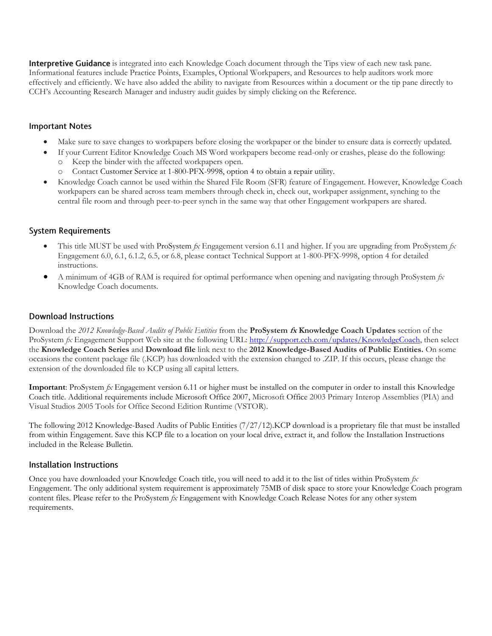**Interpretive Guidance** is integrated into each Knowledge Coach document through the Tips view of each new task pane. Informational features include Practice Points, Examples, Optional Workpapers, and Resources to help auditors work more effectively and efficiently. We have also added the ability to navigate from Resources within a document or the tip pane directly to CCH's Accounting Research Manager and industry audit guides by simply clicking on the Reference.

#### **Important Notes**

- Make sure to save changes to workpapers before closing the workpaper or the binder to ensure data is correctly updated.
	- If your Current Editor Knowledge Coach MS Word workpapers become read-only or crashes, please do the following:
		- o Keep the binder with the affected workpapers open.
		- Contact Customer Service at 1-800-PFX-9998, option 4 to obtain a repair utility.
- Knowledge Coach cannot be used within the Shared File Room (SFR) feature of Engagement. However, Knowledge Coach workpapers can be shared across team members through check in, check out, workpaper assignment, synching to the central file room and through peer-to-peer synch in the same way that other Engagement workpapers are shared.

#### **System Requirements**

- This title MUST be used with ProSystem *fx* Engagement version 6.11 and higher. If you are upgrading from ProSystem *fx*  Engagement 6.0, 6.1, 6.1.2, 6.5, or 6.8, please contact Technical Support at 1-800-PFX-9998, option 4 for detailed instructions.
- A minimum of 4GB of RAM is required for optimal performance when opening and navigating through ProSystem *fx*  Knowledge Coach documents.

#### **Download Instructions**

Download the *2012 Knowledge-Based Audits of Public Entities* from the **ProSystem fx Knowledge Coach Updates** section of the ProSystem *fx* Engagement Support Web site at the following URL: [http://support.cch.com/updates/KnowledgeCoach,](http://support.cch.com/updates/KnowledgeCoach) then select the **Knowledge Coach Series** and **Download file** link next to the **2012 Knowledge-Based Audits of Public Entities.** On some occasions the content package file (.KCP) has downloaded with the extension changed to .ZIP. If this occurs, please change the extension of the downloaded file to KCP using all capital letters.

**Important**: ProSystem *fx* Engagement version 6.11 or higher must be installed on the computer in order to install this Knowledge Coach title. Additional requirements include Microsoft Office 2007, Microsoft Office 2003 Primary Interop Assemblies (PIA) and Visual Studios 2005 Tools for Office Second Edition Runtime (VSTOR).

The following 2012 Knowledge-Based Audits of Public Entities (7/27/12).KCP download is a proprietary file that must be installed from within Engagement. Save this KCP file to a location on your local drive, extract it, and follow the Installation Instructions included in the Release Bulletin.

#### Installation Instructions

Once you have downloaded your Knowledge Coach title, you will need to add it to the list of titles within ProSystem *fx*  Engagement. The only additional system requirement is approximately 75MB of disk space to store your Knowledge Coach program content files. Please refer to the ProSystem *fx* Engagement with Knowledge Coach Release Notes for any other system requirements.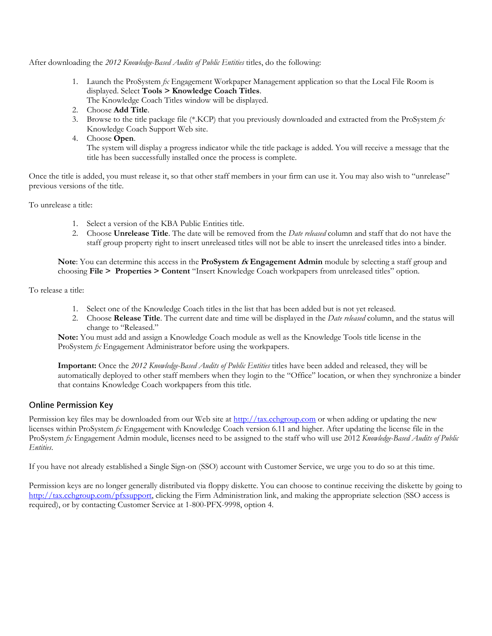After downloading the *2012 Knowledge-Based Audits of Public Entities* titles, do the following:

- 1. Launch the ProSystem *fx* Engagement Workpaper Management application so that the Local File Room is displayed. Select **Tools > Knowledge Coach Titles**.
	- The Knowledge Coach Titles window will be displayed.
- 2. Choose **Add Title**.
- 3. Browse to the title package file (\*.KCP) that you previously downloaded and extracted from the ProSystem *fx*  Knowledge Coach Support Web site.
- 4. Choose **Open**.

The system will display a progress indicator while the title package is added. You will receive a message that the title has been successfully installed once the process is complete.

Once the title is added, you must release it, so that other staff members in your firm can use it. You may also wish to "unrelease" previous versions of the title.

To unrelease a title:

- 1. Select a version of the KBA Public Entities title.
- 2. Choose **Unrelease Title**. The date will be removed from the *Date released* column and staff that do not have the staff group property right to insert unreleased titles will not be able to insert the unreleased titles into a binder.

**Note**: You can determine this access in the **ProSystem fx Engagement Admin** module by selecting a staff group and choosing **File > Properties > Content** "Insert Knowledge Coach workpapers from unreleased titles" option.

To release a title:

- 1. Select one of the Knowledge Coach titles in the list that has been added but is not yet released.
- 2. Choose **Release Title**. The current date and time will be displayed in the *Date released* column, and the status will change to "Released."

**Note:** You must add and assign a Knowledge Coach module as well as the Knowledge Tools title license in the ProSystem *fx* Engagement Administrator before using the workpapers.

**Important:** Once the *2012 Knowledge-Based Audits of Public Entities* titles have been added and released, they will be automatically deployed to other staff members when they login to the "Office" location, or when they synchronize a binder that contains Knowledge Coach workpapers from this title.

#### **Online Permission Key**

Permission key files may be downloaded from our Web site a[t http://tax.cchgroup.com](http://tax.cchgroup.com/) or when adding or updating the new licenses within ProSystem *fx* Engagement with Knowledge Coach version 6.11 and higher. After updating the license file in the ProSystem *fx* Engagement Admin module, licenses need to be assigned to the staff who will use 2012 *Knowledge-Based Audits of Public Entities*.

If you have not already established a Single Sign-on (SSO) account with Customer Service, we urge you to do so at this time.

Permission keys are no longer generally distributed via floppy diskette. You can choose to continue receiving the diskette by going to [http://tax.cchgroup.com/pfxsupport,](http://tax.cchgroup.com/pfxsupport) clicking the Firm Administration link, and making the appropriate selection (SSO access is required), or by contacting Customer Service at 1-800-PFX-9998, option 4.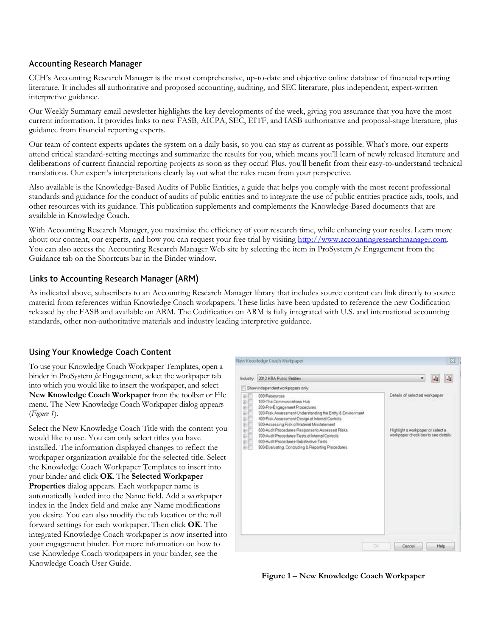### **Accounting Research Manager**

CCH's Accounting Research Manager is the most comprehensive, up-to-date and objective online database of financial reporting literature. It includes all authoritative and proposed accounting, auditing, and SEC literature, plus independent, expert-written interpretive guidance.

Our Weekly Summary email newsletter highlights the key developments of the week, giving you assurance that you have the most current information. It provides links to new FASB, AICPA, SEC, EITF, and IASB authoritative and proposal-stage literature, plus guidance from financial reporting experts.

Our team of content experts updates the system on a daily basis, so you can stay as current as possible. What's more, our experts attend critical standard-setting meetings and summarize the results for you, which means you'll learn of newly released literature and deliberations of current financial reporting projects as soon as they occur! Plus, you'll benefit from their easy-to-understand technical translations. Our expert's interpretations clearly lay out what the rules mean from your perspective.

Also available is the Knowledge-Based Audits of Public Entities, a guide that helps you comply with the most recent professional standards and guidance for the conduct of audits of public entities and to integrate the use of public entities practice aids, tools, and other resources with its guidance. This publication supplements and complements the Knowledge-Based documents that are available in Knowledge Coach.

With Accounting Research Manager, you maximize the efficiency of your research time, while enhancing your results. Learn more about our content, our experts, and how you can request your free trial by visitin[g http://www.accountingresearchmanager.com.](http://www.accountingresearchmanager.com/)  You can also access the Accounting Research Manager Web site by selecting the item in ProSystem *fx* Engagement from the Guidance tab on the Shortcuts bar in the Binder window.

# Links to Accounting Research Manager (ARM)

As indicated above, subscribers to an Accounting Research Manager library that includes source content can link directly to source material from references within Knowledge Coach workpapers. These links have been updated to reference the new Codification released by the FASB and available on ARM. The Codification on ARM is fully integrated with U.S. and international accounting standards, other non-authoritative materials and industry leading interpretive guidance.

# **Using Your Knowledge Coach Content**

To use your Knowledge Coach Workpaper Templates, open a binder in ProSystem *fx* Engagement, select the workpaper tab into which you would like to insert the workpaper, and select **New Knowledge Coach Workpaper** from the toolbar or File menu. The New Knowledge Coach Workpaper dialog appears (*Figure 1*).

Select the New Knowledge Coach Title with the content you would like to use. You can only select titles you have installed. The information displayed changes to reflect the workpaper organization available for the selected title. Select the Knowledge Coach Workpaper Templates to insert into your binder and click **OK**. The **Selected Workpaper Properties** dialog appears. Each workpaper name is automatically loaded into the Name field. Add a workpaper index in the Index field and make any Name modifications you desire. You can also modify the tab location or the roll forward settings for each workpaper. Then click **OK**. The integrated Knowledge Coach workpaper is now inserted into your engagement binder. For more information on how to use Knowledge Coach workpapers in your binder, see the Knowledge Coach User Guide.



**Figure 1 – New Knowledge Coach Workpaper**